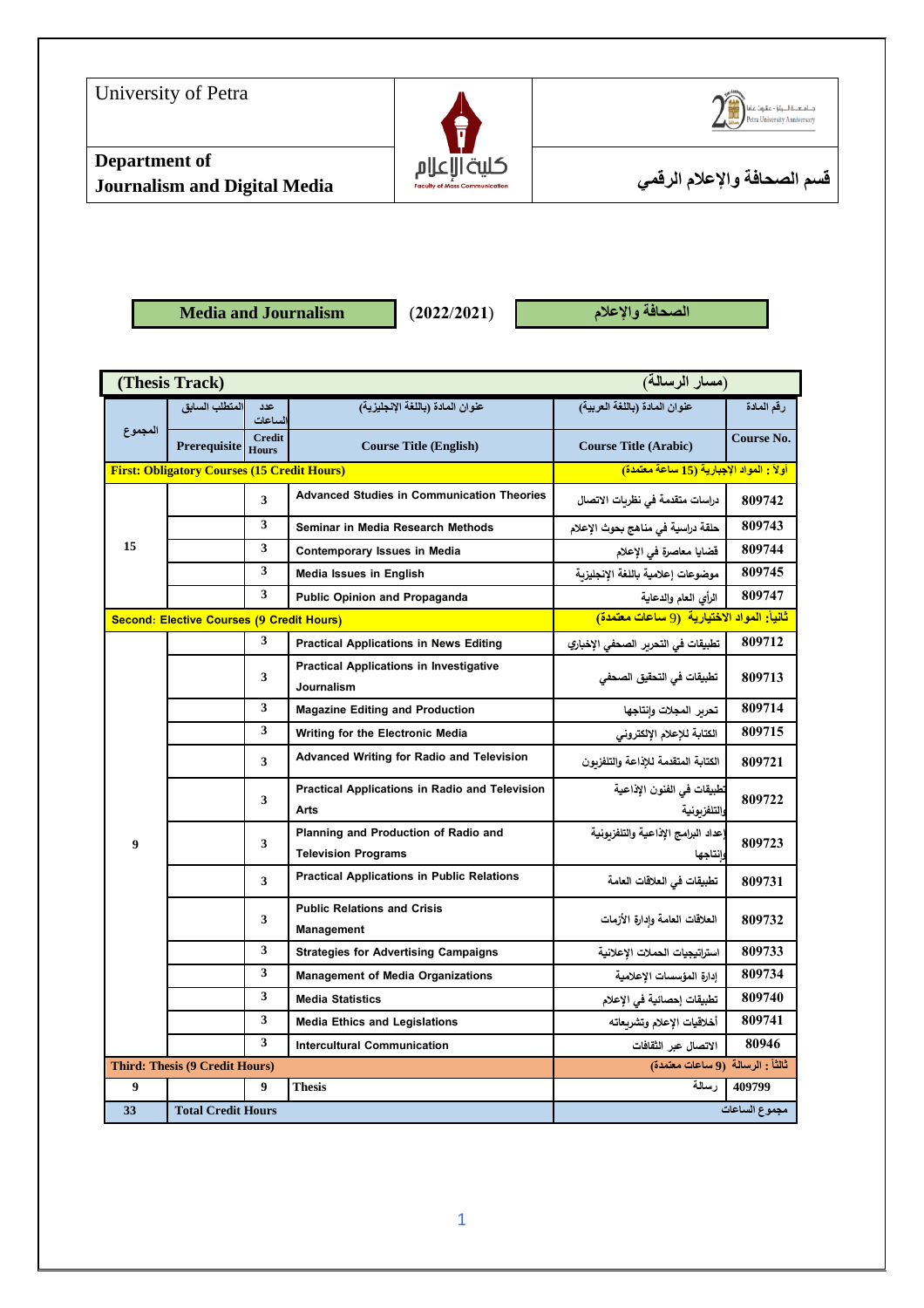

**Media and Journalism** (**2022**/**2021**) **واإلعالم الصحافة**

|         | (Thesis Track)                                     |                |                                                              | (مسار الرسالة)                                         |               |
|---------|----------------------------------------------------|----------------|--------------------------------------------------------------|--------------------------------------------------------|---------------|
|         | المتطلب السابق                                     | عدد<br>الساعات | عنوان المادة (باللغة الإنجليزية)                             | عنوان المادة (باللغة العربية)                          | رقم المادة    |
| المجموع | Prerequisite Hours                                 | <b>Credit</b>  | <b>Course Title (English)</b>                                | <b>Course Title (Arabic)</b>                           | Course No.    |
|         | <b>First: Obligatory Courses (15 Credit Hours)</b> |                |                                                              | أولاً : المواد الإجبارية (15 ساعة معتمدة)              |               |
|         |                                                    | 3              | <b>Advanced Studies in Communication Theories</b>            | دراسات متقدمة في نظريات الاتصال                        | 809742        |
|         |                                                    | 3              | Seminar in Media Research Methods                            | حلقة دراسية في مناهج بحوث الإعلام                      | 809743        |
| 15      |                                                    | 3              | Contemporary Issues in Media                                 | قضايا معاصرة في الإعلام                                | 809744        |
|         |                                                    | 3              | <b>Media Issues in English</b>                               | موضوعات إعلامية باللغة الإنجليزية                      | 809745        |
|         |                                                    | 3              | <b>Public Opinion and Propaganda</b>                         | الرأى العام والدعاية                                   | 809747        |
|         | Second: Elective Courses (9 Credit Hours)          |                |                                                              | <mark>ثانيأ: المواد الاختيارية (9 ساعات معتمدة)</mark> |               |
|         |                                                    | 3              | <b>Practical Applications in News Editing</b>                | تطبيقات في التحرير الصحفي الإخباري                     | 809712        |
|         |                                                    | 3              | <b>Practical Applications in Investigative</b><br>Journalism | تطبيقات في التحقيق الصحفي                              | 809713        |
|         |                                                    | 3              | <b>Magazine Editing and Production</b>                       | تحربر المجلات وانتاجها                                 | 809714        |
|         |                                                    | 3              | Writing for the Electronic Media                             | الكتابة للإعلام الإلكتروني                             | 809715        |
|         |                                                    | 3              | <b>Advanced Writing for Radio and Television</b>             | الكتابة المتقدمة للإذاعة والتلفزبون                    | 809721        |
|         |                                                    | 3              | Practical Applications in Radio and Television<br>Arts       | تطبيقات في الفنون الإذاعية<br>والتلفزيونية             | 809722        |
| 9       | 3                                                  |                | Planning and Production of Radio and                         | عداد البرامج الإذاعية والتلفزبونية                     | 809723        |
|         |                                                    |                | <b>Television Programs</b>                                   | وانتاجها                                               |               |
|         | 3                                                  |                | <b>Practical Applications in Public Relations</b>            | تطبيقات في العلاقات العامة                             | 809731        |
|         |                                                    | 3              | <b>Public Relations and Crisis</b><br>Management             | العلاقات العامة وإدارة الأزمات                         | 809732        |
|         |                                                    | 3              | <b>Strategies for Advertising Campaigns</b>                  | استراتيجيات الحملات الإعلانية                          | 809733        |
|         |                                                    | 3              | <b>Management of Media Organizations</b>                     | إدارة المؤسسات الإعلامية                               | 809734        |
|         |                                                    | 3              | <b>Media Statistics</b>                                      | تطبيقات إحصائية في الإعلام                             | 809740        |
|         |                                                    | 3              | <b>Media Ethics and Legislations</b>                         | أخلاقيات الإعلام وتشربعاته                             | 809741        |
|         |                                                    | 3              | <b>Intercultural Communication</b>                           | الاتصال عبر الثقافات                                   | 80946         |
|         | <b>Third: Thesis (9 Credit Hours)</b>              |                | ثالثاً : الرسالة (9 ساعات معتمدة)                            |                                                        |               |
| 9       |                                                    | 9              | <b>Thesis</b>                                                | رسالة                                                  | 409799        |
| 33      | <b>Total Credit Hours</b>                          |                |                                                              |                                                        | مجموع الساعات |